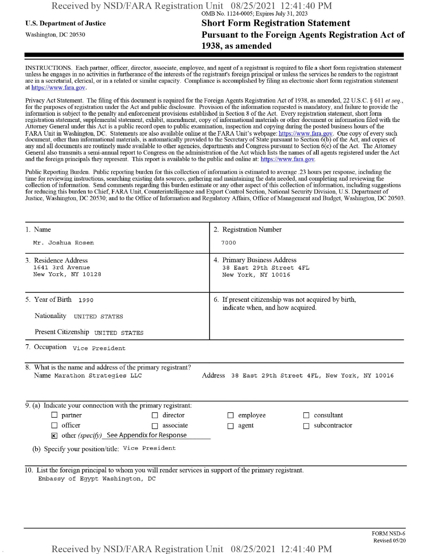## **u.s. Department of Justice Short Form Registration Statement** Washington, dc <sup>20530</sup>**Pursuant to the Foreign Agents Registration Act of 1938, as amended**

INSTRUCTIONS. Each partner, officer, director, associate, employee, and agent of a registrant is required to file a short form registration statement unless he engages in no activities in furtherance ofthe interests ofthe registrant's foreign principal or unless the services he renders to the registrant are in a secretarial, clerical, or in a related or similar capacity. Compliance is accomplished by filing an electronic short form registration statement at https://www.fara.gov.

Privacy Act Statement. The filing of this document is required for the Foreign Agents Registration Act of 1938, as amended, 22 U.S.C. § 611 et seq., for the purposes ofregistration under the Act and public disclosure. Provision ofthe information requested is mandatory, and failure to provide the information is subject to the penalty and enforcement provisions established in Section 8 of the Act. Every registration statement, short form registration statement, supplemental statement, exhibit, amendment, copy ofinformational materials or other document or information filed with the Attorney General under this Act is a public record open to public examination, inspection and copying during the posted business hours ofthe FARA Unit in Washington, DC. Statements are also available online at the FARA Unit's webpage: https://www.fara.gov. One copy of every such document, other than informational materials, is automatically provided to the Secretary of State pursuant to Section 6(b) of the Act, and copies of any and all documents are routinely made available to other agencies, departments and Congress pursuant to Section 6(c) ofthe Act. The Attorney General also transmits a semi-annual report to Congress on the administration ofthe Act which lists the names of all agents registered under the Act and the foreign principals they represent. This report is available to the public and online at: https://www.fara.gov.

Public Reporting Burden. Public reporting burden for this collection ofinformation is estimated to average .23 hours per response, including the time for reviewing instructions, searching existing data sources, gathering and maintaining the data needed, and completing and reviewing the collection of information. Send comments regarding this burden estimate or any other aspect of this collection of information, including suggestions for reducing this burden to Chief, FARA Unit, Counterintelligence and Export Control Section, National Security Division, U.S. Department of Justice, Washington, DC 20530; and to the Office of Information and Regulatory Affairs, Office of Management and Budget, Washington, DC 20503.

| 1. Name                                                                                                                                                                                 | 2. Registration Number                                                                   |  |  |  |  |
|-----------------------------------------------------------------------------------------------------------------------------------------------------------------------------------------|------------------------------------------------------------------------------------------|--|--|--|--|
| Mr. Joshua Rosen                                                                                                                                                                        | 7000                                                                                     |  |  |  |  |
| 3. Residence Address<br>1641 3rd Avenue<br>New York, NY 10128                                                                                                                           | 4. Primary Business Address<br>38 East 29th Street 4FL<br>New York, NY 10016             |  |  |  |  |
| 5. Year of Birth 1990<br>Nationality UNITED STATES<br>Present Citizenship UNITED STATES                                                                                                 | 6. If present citizenship was not acquired by birth,<br>indicate when, and how acquired. |  |  |  |  |
| 7. Occupation Vice President                                                                                                                                                            |                                                                                          |  |  |  |  |
| 8. What is the name and address of the primary registrant?<br>Name Marathon Strategies LLC<br>Address 38 East 29th Street 4FL, New York, NY 10016                                       |                                                                                          |  |  |  |  |
| 9. (a) Indicate your connection with the primary registrant:                                                                                                                            |                                                                                          |  |  |  |  |
| director<br>$\Box$ partner<br>П<br>$\Box$ officer<br>$\Box$ associate<br>$\mathbf{\times}$ other (specify) See Appendix for Response<br>(b) Specify your position/title: Vice President | $\Box$ employee<br>consultant<br>subcontractor<br>$\Box$ agent                           |  |  |  |  |
| 10. List the foreign principal to whom you will render services in support of the primary registrant.<br>Embassy of Egypt Washington, DC                                                |                                                                                          |  |  |  |  |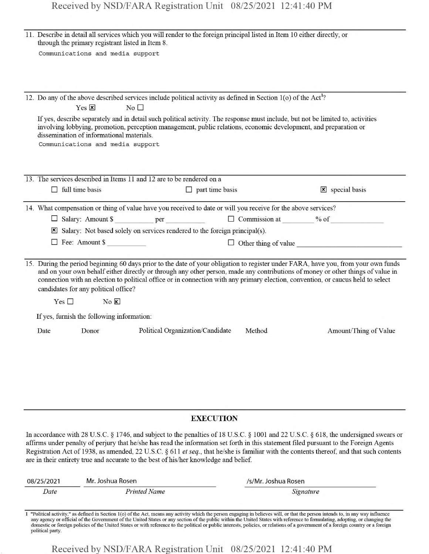|      | through the primary registrant listed in Item 8.                              | 11. Describe in detail all services which you will render to the foreign principal listed in Item 10 either directly, or                                                                                                                            |        |                                                                                                                                                                                                                                                                                                                                                                                                                            |
|------|-------------------------------------------------------------------------------|-----------------------------------------------------------------------------------------------------------------------------------------------------------------------------------------------------------------------------------------------------|--------|----------------------------------------------------------------------------------------------------------------------------------------------------------------------------------------------------------------------------------------------------------------------------------------------------------------------------------------------------------------------------------------------------------------------------|
|      | Communications and media support                                              |                                                                                                                                                                                                                                                     |        |                                                                                                                                                                                                                                                                                                                                                                                                                            |
|      |                                                                               |                                                                                                                                                                                                                                                     |        |                                                                                                                                                                                                                                                                                                                                                                                                                            |
|      |                                                                               |                                                                                                                                                                                                                                                     |        |                                                                                                                                                                                                                                                                                                                                                                                                                            |
|      |                                                                               | 12. Do any of the above described services include political activity as defined in Section 1(o) of the Act <sup>1</sup> ?                                                                                                                          |        |                                                                                                                                                                                                                                                                                                                                                                                                                            |
|      | $Yes \n  x$                                                                   | No                                                                                                                                                                                                                                                  |        |                                                                                                                                                                                                                                                                                                                                                                                                                            |
|      | dissemination of informational materials.<br>Communications and media support | If yes, describe separately and in detail such political activity. The response must include, but not be limited to, activities<br>involving lobbying, promotion, perception management, public relations, economic development, and preparation or |        |                                                                                                                                                                                                                                                                                                                                                                                                                            |
|      |                                                                               |                                                                                                                                                                                                                                                     |        |                                                                                                                                                                                                                                                                                                                                                                                                                            |
|      |                                                                               | 13. The services described in Items 11 and 12 are to be rendered on a                                                                                                                                                                               |        |                                                                                                                                                                                                                                                                                                                                                                                                                            |
|      | $\Box$ full time basis                                                        | $\Box$ part time basis                                                                                                                                                                                                                              |        | $\mathbf{\times}$ special basis                                                                                                                                                                                                                                                                                                                                                                                            |
|      |                                                                               | 14. What compensation or thing of value have you received to date or will you receive for the above services?                                                                                                                                       |        |                                                                                                                                                                                                                                                                                                                                                                                                                            |
|      |                                                                               | □ Salary: Amount \$ ___________ per ___________ □ Commission at _______ % of ___________                                                                                                                                                            |        |                                                                                                                                                                                                                                                                                                                                                                                                                            |
|      |                                                                               | Salary: Not based solely on services rendered to the foreign principal(s).                                                                                                                                                                          |        |                                                                                                                                                                                                                                                                                                                                                                                                                            |
|      | $\Box$ Fee: Amount \$                                                         |                                                                                                                                                                                                                                                     |        | $\Box$ Other thing of value                                                                                                                                                                                                                                                                                                                                                                                                |
|      | candidates for any political office?                                          | connection with an election to political office or in connection with any primary election, convention, or caucus held to select                                                                                                                    |        | 15. During the period beginning 60 days prior to the date of your obligation to register under FARA, have you, from your own funds<br>and on your own behalf either directly or through any other person, made any contributions of money or other things of value in                                                                                                                                                      |
|      | $Yes \Box$<br>$No \times$                                                     |                                                                                                                                                                                                                                                     |        |                                                                                                                                                                                                                                                                                                                                                                                                                            |
|      | If yes, furnish the following information:                                    |                                                                                                                                                                                                                                                     |        |                                                                                                                                                                                                                                                                                                                                                                                                                            |
| Date | Donor                                                                         | Political Organization/Candidate                                                                                                                                                                                                                    | Method | Amount/Thing of Value                                                                                                                                                                                                                                                                                                                                                                                                      |
|      |                                                                               |                                                                                                                                                                                                                                                     |        |                                                                                                                                                                                                                                                                                                                                                                                                                            |
|      |                                                                               |                                                                                                                                                                                                                                                     |        |                                                                                                                                                                                                                                                                                                                                                                                                                            |
|      |                                                                               |                                                                                                                                                                                                                                                     |        |                                                                                                                                                                                                                                                                                                                                                                                                                            |
|      |                                                                               |                                                                                                                                                                                                                                                     |        |                                                                                                                                                                                                                                                                                                                                                                                                                            |
|      |                                                                               | <b>EXECUTION</b>                                                                                                                                                                                                                                    |        |                                                                                                                                                                                                                                                                                                                                                                                                                            |
|      |                                                                               |                                                                                                                                                                                                                                                     |        |                                                                                                                                                                                                                                                                                                                                                                                                                            |
|      |                                                                               | are in their entirety true and accurate to the best of his/her knowledge and belief.                                                                                                                                                                |        | In accordance with 28 U.S.C. § 1746, and subject to the penalties of 18 U.S.C. § 1001 and 22 U.S.C. § 618, the undersigned swears or<br>affirms under penalty of perjury that he/she has read the information set forth in this statement filed pursuant to the Foreign Agents<br>Registration Act of 1938, as amended, 22 U.S.C. § 611 et seq., that he/she is familiar with the contents thereof, and that such contents |

| 08/25/2021 | Mr. Joshua Rosen | /s/Mr. Joshua Rosen |  |
|------------|------------------|---------------------|--|
| Date       | Printed Name     | Signature           |  |
|            |                  |                     |  |

1 "Political activity," as defined in Section 1(o) of the Act, means any activity which the person engaging in believes will, or that the person intends to, in any way influence any agency or official of the Government of political party.

Received by NSD/FARA Registration Unit 08/25/2021 12:41:40 PM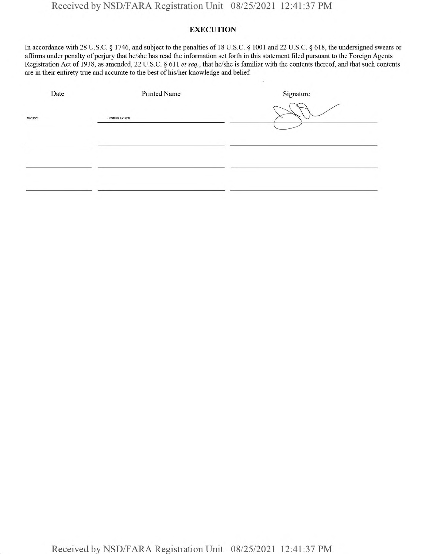## **EXECUTION**

In accordance with 28 U.S.C. § 1746, and subject to the penalties of 18 U.S.C. § 1001 and 22 U.S.C. § 618, the undersigned swears or affirms under penalty of perjury that he/she has read the information set forth in this statement filed pursuant to the Foreign Agents Registration Act of 1938, as amended, 22 U.S.C. § 611 *etseq.,* that he/she is familiar with the contents thereof, and that such contents are in their entirety true and accurate to the best of his/her knowledge and belief.

| Date    | <b>Printed Name</b> | Signature |
|---------|---------------------|-----------|
| 8/23/21 | Joshua Rosen        |           |
|         |                     |           |
|         |                     |           |
|         |                     |           |